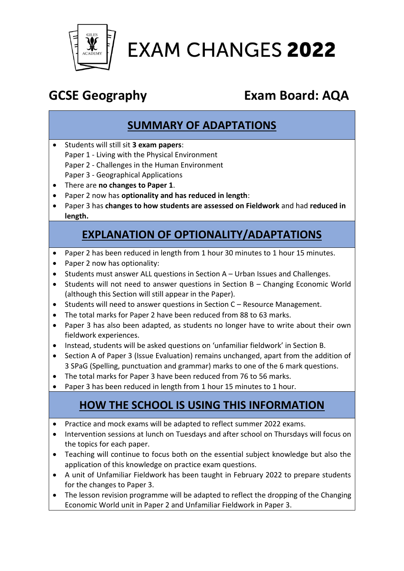

# **EXAM CHANGES 2022**

## **GCSE Geography Exam Board: AQA**

#### **SUMMARY OF ADAPTATIONS**

- Students will still sit **3 exam papers**: Paper 1 - Living with the Physical Environment Paper 2 - Challenges in the Human Environment Paper 3 - Geographical Applications
- There are **no changes to Paper 1**.
- Paper 2 now has **optionality and has reduced in length**:
- Paper 3 has **changes to how students are assessed on Fieldwork** and had **reduced in length.**

### **EXPLANATION OF OPTIONALITY/ADAPTATIONS**

- Paper 2 has been reduced in length from 1 hour 30 minutes to 1 hour 15 minutes.
- Paper 2 now has optionality:
- Students must answer ALL questions in Section A Urban Issues and Challenges.
- Students will not need to answer questions in Section B Changing Economic World (although this Section will still appear in the Paper).
- Students will need to answer questions in Section C Resource Management.
- The total marks for Paper 2 have been reduced from 88 to 63 marks.
- Paper 3 has also been adapted, as students no longer have to write about their own fieldwork experiences.
- Instead, students will be asked questions on 'unfamiliar fieldwork' in Section B.
- Section A of Paper 3 (Issue Evaluation) remains unchanged, apart from the addition of 3 SPaG (Spelling, punctuation and grammar) marks to one of the 6 mark questions.
- The total marks for Paper 3 have been reduced from 76 to 56 marks.
- Paper 3 has been reduced in length from 1 hour 15 minutes to 1 hour.

### **HOW THE SCHOOL IS USING THIS INFORMATION**

- Practice and mock exams will be adapted to reflect summer 2022 exams.
- Intervention sessions at lunch on Tuesdays and after school on Thursdays will focus on the topics for each paper.
- Teaching will continue to focus both on the essential subject knowledge but also the application of this knowledge on practice exam questions.
- A unit of Unfamiliar Fieldwork has been taught in February 2022 to prepare students for the changes to Paper 3.
- The lesson revision programme will be adapted to reflect the dropping of the Changing Economic World unit in Paper 2 and Unfamiliar Fieldwork in Paper 3.